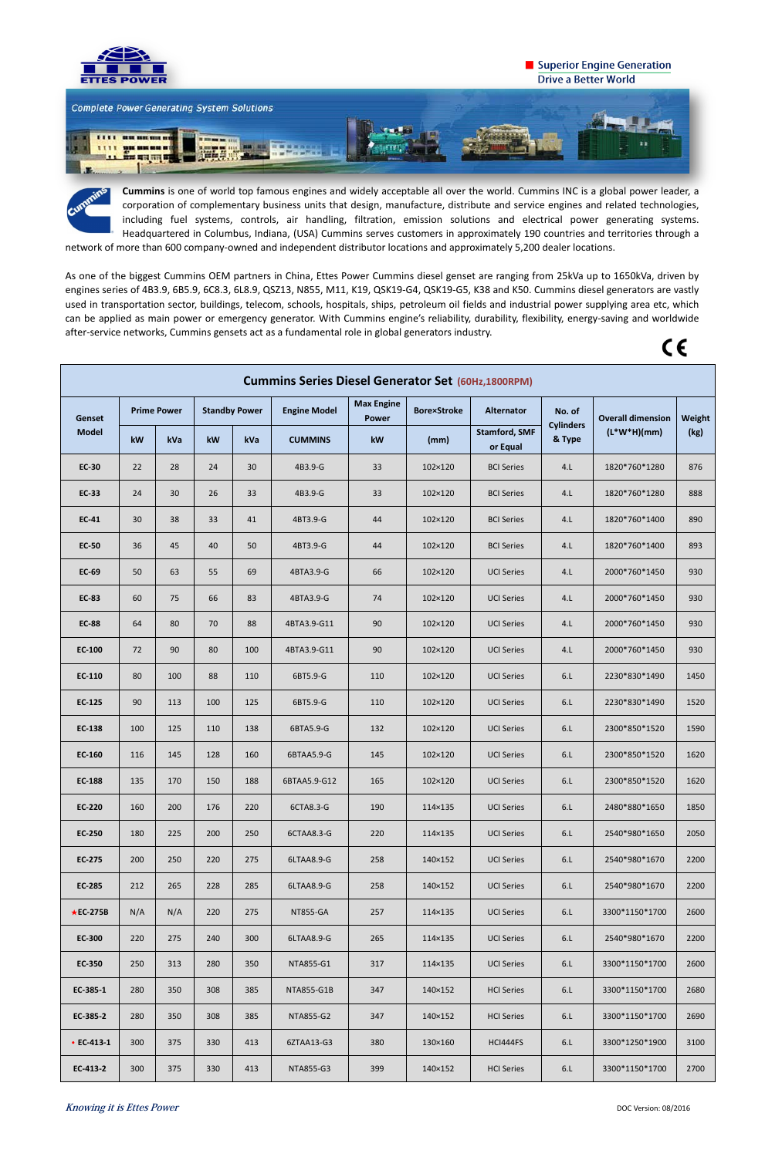

## Superior Engine Generation **Drive a Better World**



**Knowing it is Ettes Power** DOC Version: 08/2016

**Cummins** is one of world top famous engines and widely acceptable all over the world. Cummins INC is a global power leader, a corporation of complementary business units that design, manufacture, distribute and service engines and related technologies, including fuel systems, controls, air handling, filtration, emission solutions and electrical power generating systems. Headquartered in Columbus, Indiana, (USA) Cummins serves customers in approximately 190 countries and territories through a network of more than 600 company-owned and independent distributor locations and approximately 5,200 dealer locations.

As one of the biggest Cummins OEM partners in China, Ettes Power Cummins diesel genset are ranging from 25kVa up to 1650kVa, driven by engines series of 4B3.9, 6B5.9, 6C8.3, 6L8.9, QSZ13, N855, M11, K19, QSK19-G4, QSK19-G5, K38 and K50. Cummins diesel generators are vastly used in transportation sector, buildings, telecom, schools, hospitals, ships, petroleum oil fields and industrial power supplying area etc, which can be applied as main power or emergency generator. With Cummins engine's reliability, durability, flexibility, energy-saving and worldwide after-service networks, Cummins gensets act as a fundamental role in global generators industry.

# $C \in$

| <b>Cummins Series Diesel Generator Set (60Hz,1800RPM)</b> |                    |     |                      |     |                     |                                   |                    |                                  |                            |                          |        |
|-----------------------------------------------------------|--------------------|-----|----------------------|-----|---------------------|-----------------------------------|--------------------|----------------------------------|----------------------------|--------------------------|--------|
| Genset<br><b>Model</b>                                    | <b>Prime Power</b> |     | <b>Standby Power</b> |     | <b>Engine Model</b> | <b>Max Engine</b><br><b>Power</b> | <b>Bore×Stroke</b> | <b>Alternator</b>                | No. of                     | <b>Overall dimension</b> | Weight |
|                                                           | kW                 | kVa | kW                   | kVa | <b>CUMMINS</b>      | kW                                | (mm)               | <b>Stamford, SMF</b><br>or Equal | <b>Cylinders</b><br>& Type | $(L*W*H)(mm)$            | (kg)   |
| <b>EC-30</b>                                              | 22                 | 28  | 24                   | 30  | 4B3.9-G             | 33                                | 102×120            | <b>BCI Series</b>                | 4.L                        | 1820*760*1280            | 876    |
| <b>EC-33</b>                                              | 24                 | 30  | 26                   | 33  | 4B3.9-G             | 33                                | 102×120            | <b>BCI Series</b>                | 4.L                        | 1820*760*1280            | 888    |
| <b>EC-41</b>                                              | 30                 | 38  | 33                   | 41  | 4BT3.9-G            | 44                                | 102×120            | <b>BCI Series</b>                | 4.L                        | 1820*760*1400            | 890    |
| <b>EC-50</b>                                              | 36                 | 45  | 40                   | 50  | 4BT3.9-G            | 44                                | 102×120            | <b>BCI Series</b>                | 4.L                        | 1820*760*1400            | 893    |
| <b>EC-69</b>                                              | 50                 | 63  | 55                   | 69  | 4BTA3.9-G           | 66                                | 102×120            | <b>UCI Series</b>                | 4.L                        | 2000*760*1450            | 930    |
| <b>EC-83</b>                                              | 60                 | 75  | 66                   | 83  | 4BTA3.9-G           | 74                                | 102×120            | <b>UCI Series</b>                | 4.L                        | 2000*760*1450            | 930    |
| <b>EC-88</b>                                              | 64                 | 80  | 70                   | 88  | 4BTA3.9-G11         | 90                                | 102×120            | <b>UCI Series</b>                | 4.L                        | 2000*760*1450            | 930    |
| <b>EC-100</b>                                             | 72                 | 90  | 80                   | 100 | 4BTA3.9-G11         | 90                                | 102×120            | <b>UCI Series</b>                | 4.L                        | 2000*760*1450            | 930    |
| EC-110                                                    | 80                 | 100 | 88                   | 110 | 6BT5.9-G            | 110                               | 102×120            | <b>UCI Series</b>                | 6.L                        | 2230*830*1490            | 1450   |
| EC-125                                                    | 90                 | 113 | 100                  | 125 | 6BT5.9-G            | 110                               | 102×120            | <b>UCI Series</b>                | 6.L                        | 2230*830*1490            | 1520   |
| EC-138                                                    | 100                | 125 | 110                  | 138 | 6BTA5.9-G           | 132                               | 102×120            | <b>UCI Series</b>                | 6.L                        | 2300*850*1520            | 1590   |
| EC-160                                                    | 116                | 145 | 128                  | 160 | 6BTAA5.9-G          | 145                               | 102×120            | <b>UCI Series</b>                | 6.L                        | 2300*850*1520            | 1620   |
| <b>EC-188</b>                                             | 135                | 170 | 150                  | 188 | 6BTAA5.9-G12        | 165                               | 102×120            | <b>UCI Series</b>                | 6.L                        | 2300*850*1520            | 1620   |
| <b>EC-220</b>                                             | 160                | 200 | 176                  | 220 | 6CTA8.3-G           | 190                               | 114×135            | <b>UCI Series</b>                | 6.L                        | 2480*880*1650            | 1850   |
| <b>EC-250</b>                                             | 180                | 225 | 200                  | 250 | 6CTAA8.3-G          | 220                               | 114×135            | <b>UCI Series</b>                | 6.L                        | 2540*980*1650            | 2050   |
| EC-275                                                    | 200                | 250 | 220                  | 275 | 6LTAA8.9-G          | 258                               | 140×152            | <b>UCI Series</b>                | 6.L                        | 2540*980*1670            | 2200   |
| <b>EC-285</b>                                             | 212                | 265 | 228                  | 285 | 6LTAA8.9-G          | 258                               | 140×152            | <b>UCI Series</b>                | 6.L                        | 2540*980*1670            | 2200   |
| $\star$ EC-275B                                           | N/A                | N/A | 220                  | 275 | <b>NT855-GA</b>     | 257                               | 114×135            | <b>UCI Series</b>                | 6.L                        | 3300*1150*1700           | 2600   |
| <b>EC-300</b>                                             | 220                | 275 | 240                  | 300 | 6LTAA8.9-G          | 265                               | 114×135            | <b>UCI Series</b>                | 6.L                        | 2540*980*1670            | 2200   |
| <b>EC-350</b>                                             | 250                | 313 | 280                  | 350 | NTA855-G1           | 317                               | 114×135            | <b>UCI Series</b>                | 6.L                        | 3300*1150*1700           | 2600   |
| EC-385-1                                                  | 280                | 350 | 308                  | 385 | NTA855-G1B          | 347                               | 140×152            | <b>HCI Series</b>                | 6.L                        | 3300*1150*1700           | 2680   |
| EC-385-2                                                  | 280                | 350 | 308                  | 385 | NTA855-G2           | 347                               | 140×152            | <b>HCI Series</b>                | 6.L                        | 3300*1150*1700           | 2690   |
| • $EC-413-1$                                              | 300                | 375 | 330                  | 413 | 6ZTAA13-G3          | 380                               | 130×160            | HCI444FS                         | 6.L                        | 3300*1250*1900           | 3100   |
| EC-413-2                                                  | 300                | 375 | 330                  | 413 | NTA855-G3           | 399                               | 140×152            | <b>HCI Series</b>                | 6.L                        | 3300*1150*1700           | 2700   |